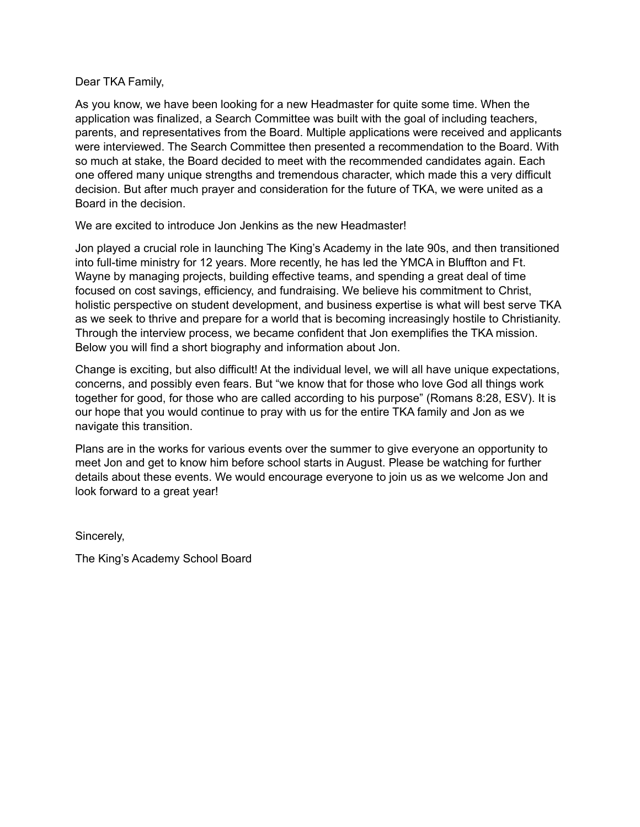## Dear TKA Family,

As you know, we have been looking for a new Headmaster for quite some time. When the application was finalized, a Search Committee was built with the goal of including teachers, parents, and representatives from the Board. Multiple applications were received and applicants were interviewed. The Search Committee then presented a recommendation to the Board. With so much at stake, the Board decided to meet with the recommended candidates again. Each one offered many unique strengths and tremendous character, which made this a very difficult decision. But after much prayer and consideration for the future of TKA, we were united as a Board in the decision.

We are excited to introduce Jon Jenkins as the new Headmaster!

Jon played a crucial role in launching The King's Academy in the late 90s, and then transitioned into full-time ministry for 12 years. More recently, he has led the YMCA in Bluffton and Ft. Wayne by managing projects, building effective teams, and spending a great deal of time focused on cost savings, efficiency, and fundraising. We believe his commitment to Christ, holistic perspective on student development, and business expertise is what will best serve TKA as we seek to thrive and prepare for a world that is becoming increasingly hostile to Christianity. Through the interview process, we became confident that Jon exemplifies the TKA mission. Below you will find a short biography and information about Jon.

Change is exciting, but also difficult! At the individual level, we will all have unique expectations, concerns, and possibly even fears. But "we know that for those who love God all things work together for good, for those who are called according to his purpose" (Romans 8:28, ESV). It is our hope that you would continue to pray with us for the entire TKA family and Jon as we navigate this transition.

Plans are in the works for various events over the summer to give everyone an opportunity to meet Jon and get to know him before school starts in August. Please be watching for further details about these events. We would encourage everyone to join us as we welcome Jon and look forward to a great year!

Sincerely,

The King's Academy School Board